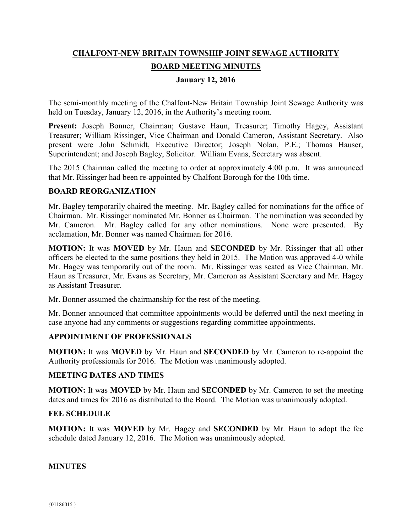# **CHALFONT-NEW BRITAIN TOWNSHIP JOINT SEWAGE AUTHORITY BOARD MEETING MINUTES**

### **January 12, 2016**

The semi-monthly meeting of the Chalfont-New Britain Township Joint Sewage Authority was held on Tuesday, January 12, 2016, in the Authority's meeting room.

**Present:** Joseph Bonner, Chairman; Gustave Haun, Treasurer; Timothy Hagey, Assistant Treasurer; William Rissinger, Vice Chairman and Donald Cameron, Assistant Secretary. Also present were John Schmidt, Executive Director; Joseph Nolan, P.E.; Thomas Hauser, Superintendent; and Joseph Bagley, Solicitor. William Evans, Secretary was absent.

The 2015 Chairman called the meeting to order at approximately 4:00 p.m. It was announced that Mr. Rissinger had been re-appointed by Chalfont Borough for the 10th time.

### **BOARD REORGANIZATION**

Mr. Bagley temporarily chaired the meeting. Mr. Bagley called for nominations for the office of Chairman. Mr. Rissinger nominated Mr. Bonner as Chairman. The nomination was seconded by Mr. Cameron. Mr. Bagley called for any other nominations. None were presented. By acclamation, Mr. Bonner was named Chairman for 2016.

**MOTION:** It was **MOVED** by Mr. Haun and **SECONDED** by Mr. Rissinger that all other officers be elected to the same positions they held in 2015. The Motion was approved 4-0 while Mr. Hagey was temporarily out of the room. Mr. Rissinger was seated as Vice Chairman, Mr. Haun as Treasurer, Mr. Evans as Secretary, Mr. Cameron as Assistant Secretary and Mr. Hagey as Assistant Treasurer.

Mr. Bonner assumed the chairmanship for the rest of the meeting.

Mr. Bonner announced that committee appointments would be deferred until the next meeting in case anyone had any comments or suggestions regarding committee appointments.

### **APPOINTMENT OF PROFESSIONALS**

**MOTION:** It was **MOVED** by Mr. Haun and **SECONDED** by Mr. Cameron to re-appoint the Authority professionals for 2016. The Motion was unanimously adopted.

### **MEETING DATES AND TIMES**

**MOTION:** It was **MOVED** by Mr. Haun and **SECONDED** by Mr. Cameron to set the meeting dates and times for 2016 as distributed to the Board. The Motion was unanimously adopted.

### **FEE SCHEDULE**

**MOTION:** It was **MOVED** by Mr. Hagey and **SECONDED** by Mr. Haun to adopt the fee schedule dated January 12, 2016. The Motion was unanimously adopted.

### **MINUTES**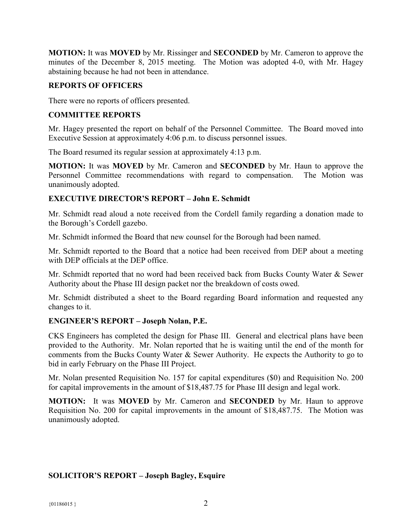**MOTION:** It was **MOVED** by Mr. Rissinger and **SECONDED** by Mr. Cameron to approve the minutes of the December 8, 2015 meeting. The Motion was adopted 4-0, with Mr. Hagey abstaining because he had not been in attendance.

### **REPORTS OF OFFICERS**

There were no reports of officers presented.

### **COMMITTEE REPORTS**

Mr. Hagey presented the report on behalf of the Personnel Committee. The Board moved into Executive Session at approximately 4:06 p.m. to discuss personnel issues.

The Board resumed its regular session at approximately 4:13 p.m.

**MOTION:** It was **MOVED** by Mr. Cameron and **SECONDED** by Mr. Haun to approve the Personnel Committee recommendations with regard to compensation. The Motion was unanimously adopted.

### **EXECUTIVE DIRECTOR'S REPORT – John E. Schmidt**

Mr. Schmidt read aloud a note received from the Cordell family regarding a donation made to the Borough's Cordell gazebo.

Mr. Schmidt informed the Board that new counsel for the Borough had been named.

Mr. Schmidt reported to the Board that a notice had been received from DEP about a meeting with DEP officials at the DEP office.

Mr. Schmidt reported that no word had been received back from Bucks County Water & Sewer Authority about the Phase III design packet nor the breakdown of costs owed.

Mr. Schmidt distributed a sheet to the Board regarding Board information and requested any changes to it.

### **ENGINEER'S REPORT – Joseph Nolan, P.E.**

CKS Engineers has completed the design for Phase III. General and electrical plans have been provided to the Authority. Mr. Nolan reported that he is waiting until the end of the month for comments from the Bucks County Water & Sewer Authority. He expects the Authority to go to bid in early February on the Phase III Project.

Mr. Nolan presented Requisition No. 157 for capital expenditures (\$0) and Requisition No. 200 for capital improvements in the amount of \$18,487.75 for Phase III design and legal work.

**MOTION:** It was **MOVED** by Mr. Cameron and **SECONDED** by Mr. Haun to approve Requisition No. 200 for capital improvements in the amount of \$18,487.75. The Motion was unanimously adopted.

## **SOLICITOR'S REPORT – Joseph Bagley, Esquire**